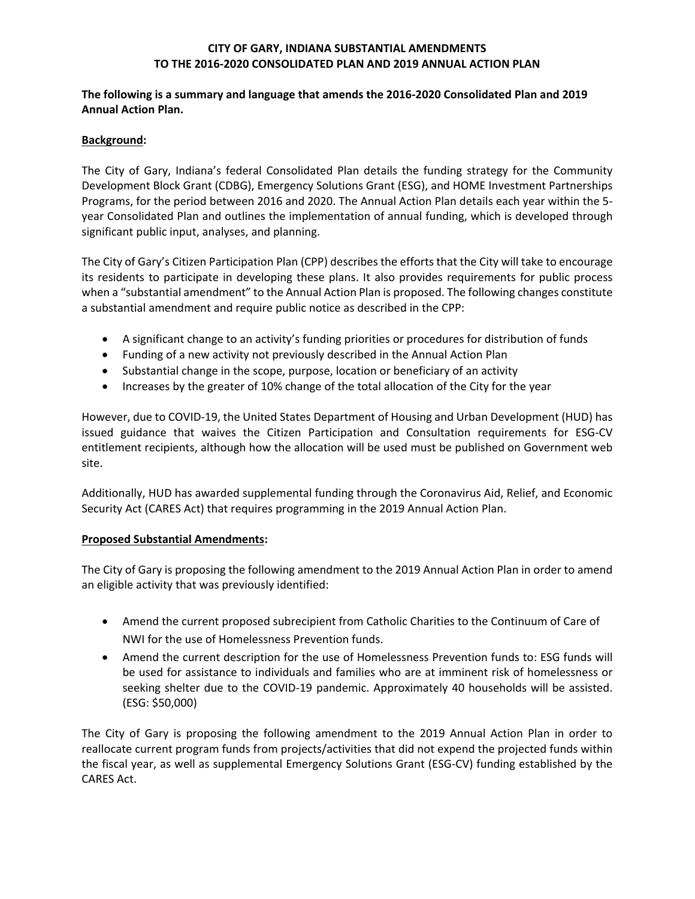## **CITY OF GARY, INDIANA SUBSTANTIAL AMENDMENTS TO THE 2016-2020 CONSOLIDATED PLAN AND 2019 ANNUAL ACTION PLAN**

### **The following is a summary and language that amends the 2016-2020 Consolidated Plan and 2019 Annual Action Plan.**

### **Background:**

The City of Gary, Indiana's federal Consolidated Plan details the funding strategy for the Community Development Block Grant (CDBG), Emergency Solutions Grant (ESG), and HOME Investment Partnerships Programs, for the period between 2016 and 2020. The Annual Action Plan details each year within the 5 year Consolidated Plan and outlines the implementation of annual funding, which is developed through significant public input, analyses, and planning.

The City of Gary's Citizen Participation Plan (CPP) describes the efforts that the City will take to encourage its residents to participate in developing these plans. It also provides requirements for public process when a "substantial amendment" to the Annual Action Plan is proposed. The following changes constitute a substantial amendment and require public notice as described in the CPP:

- A significant change to an activity's funding priorities or procedures for distribution of funds
- Funding of a new activity not previously described in the Annual Action Plan
- Substantial change in the scope, purpose, location or beneficiary of an activity
- Increases by the greater of 10% change of the total allocation of the City for the year

However, due to COVID-19, the United States Department of Housing and Urban Development (HUD) has issued guidance that waives the Citizen Participation and Consultation requirements for ESG-CV entitlement recipients, although how the allocation will be used must be published on Government web site.

Additionally, HUD has awarded supplemental funding through the Coronavirus Aid, Relief, and Economic Security Act (CARES Act) that requires programming in the 2019 Annual Action Plan.

### **Proposed Substantial Amendments:**

The City of Gary is proposing the following amendment to the 2019 Annual Action Plan in order to amend an eligible activity that was previously identified:

- Amend the current proposed subrecipient from Catholic Charities to the Continuum of Care of NWI for the use of Homelessness Prevention funds.
- Amend the current description for the use of Homelessness Prevention funds to: ESG funds will be used for assistance to individuals and families who are at imminent risk of homelessness or seeking shelter due to the COVID-19 pandemic. Approximately 40 households will be assisted. (ESG: \$50,000)

The City of Gary is proposing the following amendment to the 2019 Annual Action Plan in order to reallocate current program funds from projects/activities that did not expend the projected funds within the fiscal year, as well as supplemental Emergency Solutions Grant (ESG-CV) funding established by the CARES Act.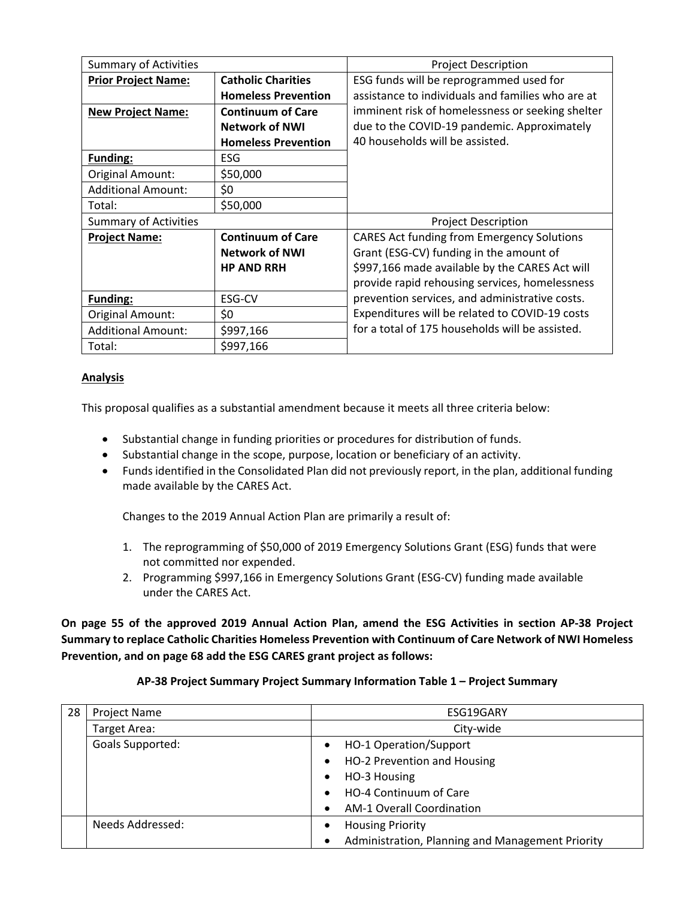| <b>Summary of Activities</b>                            |                            | <b>Project Description</b>                                                                                                                                                                            |  |  |  |  |
|---------------------------------------------------------|----------------------------|-------------------------------------------------------------------------------------------------------------------------------------------------------------------------------------------------------|--|--|--|--|
| <b>Catholic Charities</b><br><b>Prior Project Name:</b> |                            | ESG funds will be reprogrammed used for                                                                                                                                                               |  |  |  |  |
|                                                         | <b>Homeless Prevention</b> | assistance to individuals and families who are at<br>imminent risk of homelessness or seeking shelter                                                                                                 |  |  |  |  |
| <b>New Project Name:</b>                                | <b>Continuum of Care</b>   |                                                                                                                                                                                                       |  |  |  |  |
|                                                         | <b>Network of NWI</b>      | due to the COVID-19 pandemic. Approximately<br>40 households will be assisted.                                                                                                                        |  |  |  |  |
|                                                         | <b>Homeless Prevention</b> |                                                                                                                                                                                                       |  |  |  |  |
| Funding:                                                | <b>ESG</b>                 |                                                                                                                                                                                                       |  |  |  |  |
| Original Amount:<br>\$50,000                            |                            |                                                                                                                                                                                                       |  |  |  |  |
| <b>Additional Amount:</b><br>\$0                        |                            |                                                                                                                                                                                                       |  |  |  |  |
| Total:                                                  | \$50,000                   |                                                                                                                                                                                                       |  |  |  |  |
| <b>Summary of Activities</b>                            |                            | <b>Project Description</b>                                                                                                                                                                            |  |  |  |  |
| <b>Project Name:</b>                                    | <b>Continuum of Care</b>   | <b>CARES Act funding from Emergency Solutions</b>                                                                                                                                                     |  |  |  |  |
| <b>Network of NWI</b>                                   |                            | Grant (ESG-CV) funding in the amount of                                                                                                                                                               |  |  |  |  |
|                                                         | <b>HP AND RRH</b>          | \$997,166 made available by the CARES Act will                                                                                                                                                        |  |  |  |  |
|                                                         |                            | provide rapid rehousing services, homelessness<br>prevention services, and administrative costs.<br>Expenditures will be related to COVID-19 costs<br>for a total of 175 households will be assisted. |  |  |  |  |
| <b>Funding:</b><br>ESG-CV                               |                            |                                                                                                                                                                                                       |  |  |  |  |
| \$0<br><b>Original Amount:</b>                          |                            |                                                                                                                                                                                                       |  |  |  |  |
| <b>Additional Amount:</b><br>\$997,166                  |                            |                                                                                                                                                                                                       |  |  |  |  |
| Total:                                                  | \$997,166                  |                                                                                                                                                                                                       |  |  |  |  |

## **Analysis**

This proposal qualifies as a substantial amendment because it meets all three criteria below:

- Substantial change in funding priorities or procedures for distribution of funds.
- Substantial change in the scope, purpose, location or beneficiary of an activity.
- Funds identified in the Consolidated Plan did not previously report, in the plan, additional funding made available by the CARES Act.

Changes to the 2019 Annual Action Plan are primarily a result of:

- 1. The reprogramming of \$50,000 of 2019 Emergency Solutions Grant (ESG) funds that were not committed nor expended.
- 2. Programming \$997,166 in Emergency Solutions Grant (ESG-CV) funding made available under the CARES Act.

**On page 55 of the approved 2019 Annual Action Plan, amend the ESG Activities in section AP-38 Project Summary to replace Catholic Charities Homeless Prevention with Continuum of Care Network of NWI Homeless Prevention, and on page 68 add the ESG CARES grant project as follows:**

|  | AP-38 Project Summary Project Summary Information Table 1 - Project Summary |
|--|-----------------------------------------------------------------------------|
|--|-----------------------------------------------------------------------------|

| 28 | <b>Project Name</b> | ESG19GARY                                        |  |  |  |
|----|---------------------|--------------------------------------------------|--|--|--|
|    | Target Area:        | City-wide                                        |  |  |  |
|    | Goals Supported:    | HO-1 Operation/Support<br>$\bullet$              |  |  |  |
|    |                     | HO-2 Prevention and Housing<br>$\bullet$         |  |  |  |
|    |                     | HO-3 Housing<br>٠                                |  |  |  |
|    |                     | HO-4 Continuum of Care                           |  |  |  |
|    |                     | <b>AM-1 Overall Coordination</b>                 |  |  |  |
|    | Needs Addressed:    | <b>Housing Priority</b><br>$\bullet$             |  |  |  |
|    |                     | Administration, Planning and Management Priority |  |  |  |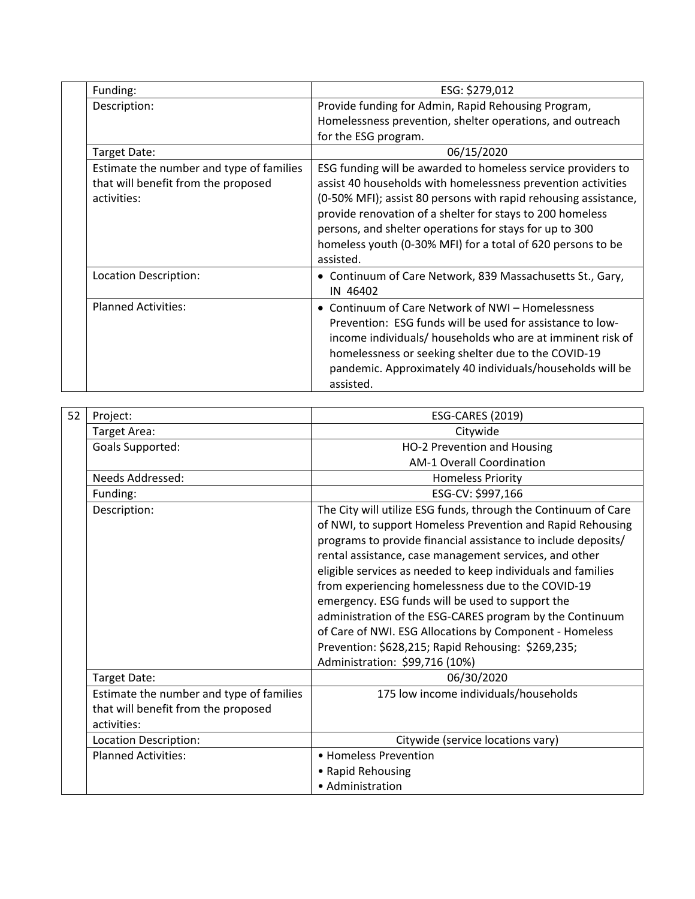| Funding:                                                                                       | ESG: \$279,012                                                                                                                                                                                                                                                                                                                                                                                      |  |  |  |
|------------------------------------------------------------------------------------------------|-----------------------------------------------------------------------------------------------------------------------------------------------------------------------------------------------------------------------------------------------------------------------------------------------------------------------------------------------------------------------------------------------------|--|--|--|
| Description:                                                                                   | Provide funding for Admin, Rapid Rehousing Program,                                                                                                                                                                                                                                                                                                                                                 |  |  |  |
|                                                                                                | Homelessness prevention, shelter operations, and outreach                                                                                                                                                                                                                                                                                                                                           |  |  |  |
|                                                                                                | for the ESG program.                                                                                                                                                                                                                                                                                                                                                                                |  |  |  |
| Target Date:                                                                                   | 06/15/2020                                                                                                                                                                                                                                                                                                                                                                                          |  |  |  |
| Estimate the number and type of families<br>that will benefit from the proposed<br>activities: | ESG funding will be awarded to homeless service providers to<br>assist 40 households with homelessness prevention activities<br>(0-50% MFI); assist 80 persons with rapid rehousing assistance,<br>provide renovation of a shelter for stays to 200 homeless<br>persons, and shelter operations for stays for up to 300<br>homeless youth (0-30% MFI) for a total of 620 persons to be<br>assisted. |  |  |  |
| Location Description:                                                                          | • Continuum of Care Network, 839 Massachusetts St., Gary,<br>IN 46402                                                                                                                                                                                                                                                                                                                               |  |  |  |
| <b>Planned Activities:</b>                                                                     | • Continuum of Care Network of NWI - Homelessness<br>Prevention: ESG funds will be used for assistance to low-<br>income individuals/ households who are at imminent risk of<br>homelessness or seeking shelter due to the COVID-19<br>pandemic. Approximately 40 individuals/households will be<br>assisted.                                                                                       |  |  |  |

| 52 | Project:                                 | <b>ESG-CARES (2019)</b>                                                                                                                                                                                                                                                                                                                                                                                                                                                                                                                                                                                                                                        |  |  |  |  |
|----|------------------------------------------|----------------------------------------------------------------------------------------------------------------------------------------------------------------------------------------------------------------------------------------------------------------------------------------------------------------------------------------------------------------------------------------------------------------------------------------------------------------------------------------------------------------------------------------------------------------------------------------------------------------------------------------------------------------|--|--|--|--|
|    | Target Area:                             | Citywide                                                                                                                                                                                                                                                                                                                                                                                                                                                                                                                                                                                                                                                       |  |  |  |  |
|    | <b>Goals Supported:</b>                  | HO-2 Prevention and Housing                                                                                                                                                                                                                                                                                                                                                                                                                                                                                                                                                                                                                                    |  |  |  |  |
|    |                                          | <b>AM-1 Overall Coordination</b>                                                                                                                                                                                                                                                                                                                                                                                                                                                                                                                                                                                                                               |  |  |  |  |
|    | Needs Addressed:                         | <b>Homeless Priority</b>                                                                                                                                                                                                                                                                                                                                                                                                                                                                                                                                                                                                                                       |  |  |  |  |
|    | Funding:                                 | ESG-CV: \$997,166                                                                                                                                                                                                                                                                                                                                                                                                                                                                                                                                                                                                                                              |  |  |  |  |
|    | Description:                             | The City will utilize ESG funds, through the Continuum of Care<br>of NWI, to support Homeless Prevention and Rapid Rehousing<br>programs to provide financial assistance to include deposits/<br>rental assistance, case management services, and other<br>eligible services as needed to keep individuals and families<br>from experiencing homelessness due to the COVID-19<br>emergency. ESG funds will be used to support the<br>administration of the ESG-CARES program by the Continuum<br>of Care of NWI. ESG Allocations by Component - Homeless<br>Prevention: \$628,215; Rapid Rehousing: \$269,235;<br>Administration: \$99,716 (10%)<br>06/30/2020 |  |  |  |  |
|    | Target Date:                             |                                                                                                                                                                                                                                                                                                                                                                                                                                                                                                                                                                                                                                                                |  |  |  |  |
|    | Estimate the number and type of families | 175 low income individuals/households                                                                                                                                                                                                                                                                                                                                                                                                                                                                                                                                                                                                                          |  |  |  |  |
|    | that will benefit from the proposed      |                                                                                                                                                                                                                                                                                                                                                                                                                                                                                                                                                                                                                                                                |  |  |  |  |
|    | activities:                              |                                                                                                                                                                                                                                                                                                                                                                                                                                                                                                                                                                                                                                                                |  |  |  |  |
|    | Location Description:                    | Citywide (service locations vary)                                                                                                                                                                                                                                                                                                                                                                                                                                                                                                                                                                                                                              |  |  |  |  |
|    | <b>Planned Activities:</b>               | • Homeless Prevention                                                                                                                                                                                                                                                                                                                                                                                                                                                                                                                                                                                                                                          |  |  |  |  |
|    |                                          | • Rapid Rehousing                                                                                                                                                                                                                                                                                                                                                                                                                                                                                                                                                                                                                                              |  |  |  |  |
|    |                                          | • Administration                                                                                                                                                                                                                                                                                                                                                                                                                                                                                                                                                                                                                                               |  |  |  |  |